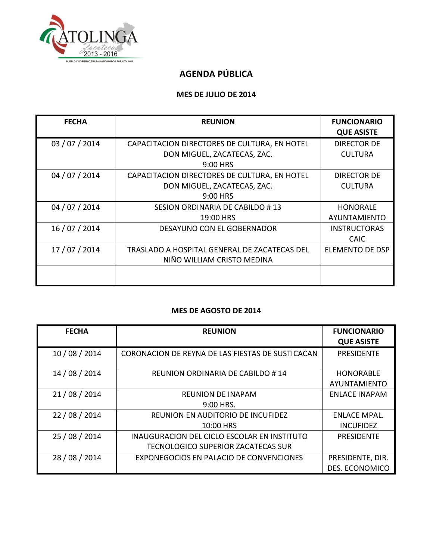

## **AGENDA PÚBLICA**

### **MES DE JULIO DE 2014**

| <b>FECHA</b>   | <b>REUNION</b>                               | <b>FUNCIONARIO</b><br><b>QUE ASISTE</b> |
|----------------|----------------------------------------------|-----------------------------------------|
| 03 / 07 / 2014 | CAPACITACION DIRECTORES DE CULTURA, EN HOTEL | <b>DIRECTOR DE</b>                      |
|                | DON MIGUEL, ZACATECAS, ZAC.                  | <b>CULTURA</b>                          |
|                | 9:00 HRS                                     |                                         |
| 04 / 07 / 2014 | CAPACITACION DIRECTORES DE CULTURA, EN HOTEL | <b>DIRECTOR DE</b>                      |
|                | DON MIGUEL, ZACATECAS, ZAC.                  | <b>CULTURA</b>                          |
|                | 9:00 HRS                                     |                                         |
| 04 / 07 / 2014 | SESION ORDINARIA DE CABILDO #13              | <b>HONORALE</b>                         |
|                | 19:00 HRS                                    | AYUNTAMIENTO                            |
| 16 / 07 / 2014 | DESAYUNO CON EL GOBERNADOR                   | <b>INSTRUCTORAS</b>                     |
|                |                                              | <b>CAIC</b>                             |
| 17 / 07 / 2014 | TRASLADO A HOSPITAL GENERAL DE ZACATECAS DEL | <b>ELEMENTO DE DSP</b>                  |
|                | NIÑO WILLIAM CRISTO MEDINA                   |                                         |
|                |                                              |                                         |

#### **MES DE AGOSTO DE 2014**

| <b>FECHA</b>   | <b>REUNION</b>                                     | <b>FUNCIONARIO</b><br><b>QUE ASISTE</b> |
|----------------|----------------------------------------------------|-----------------------------------------|
| 10 / 08 / 2014 | CORONACION DE REYNA DE LAS FIESTAS DE SUSTICACAN   | <b>PRESIDENTE</b>                       |
| 14 / 08 / 2014 | REUNION ORDINARIA DE CABILDO # 14                  | <b>HONORABLE</b>                        |
|                |                                                    | AYUNTAMIENTO                            |
| 21/08/2014     | <b>REUNION DE INAPAM</b>                           | <b>ENLACE INAPAM</b>                    |
|                | 9:00 HRS.                                          |                                         |
| 22 / 08 / 2014 | REUNION EN AUDITORIO DE INCUFIDEZ                  | ENLACE MPAL.                            |
|                | 10:00 HRS                                          | <b>INCUFIDEZ</b>                        |
| 25 / 08 / 2014 | <b>INAUGURACION DEL CICLO ESCOLAR EN INSTITUTO</b> | <b>PRESIDENTE</b>                       |
|                | TECNOLOGICO SUPERIOR ZACATECAS SUR                 |                                         |
| 28 / 08 / 2014 | EXPONEGOCIOS EN PALACIO DE CONVENCIONES            | PRESIDENTE, DIR.                        |
|                |                                                    | <b>DES. ECONOMICO</b>                   |